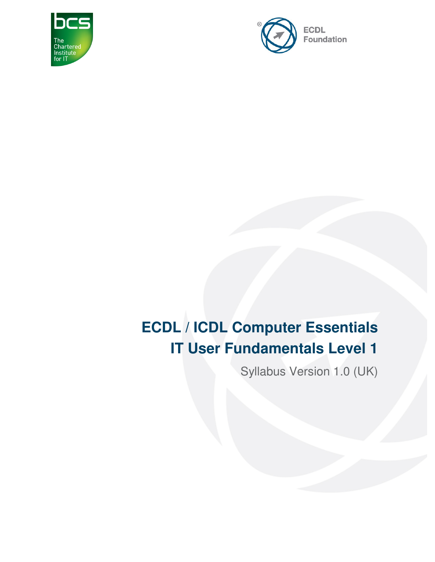



# **ECDL / ICDL Computer Essentials IT User Fundamentals Level 1**

Syllabus Version 1.0 (UK)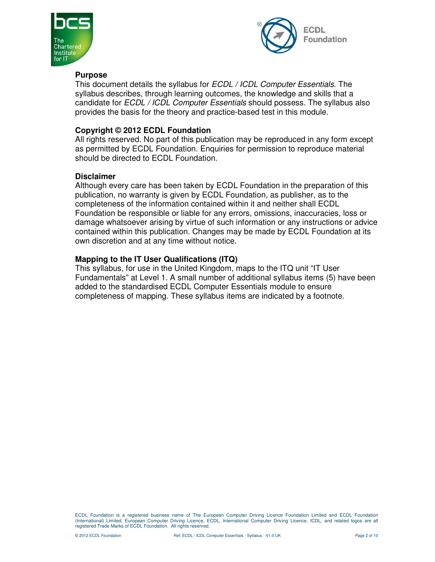



#### **Purpose**

This document details the syllabus for *ECDL / ICDL Computer Essentials*. The syllabus describes, through learning outcomes, the knowledge and skills that a candidate for ECDL / ICDL Computer Essentials should possess. The syllabus also provides the basis for the theory and practice-based test in this module.

#### **Copyright © 2012 ECDL Foundation**

All rights reserved. No part of this publication may be reproduced in any form except as permitted by ECDL Foundation. Enquiries for permission to reproduce material should be directed to ECDL Foundation.

#### **Disclaimer**

Although every care has been taken by ECDL Foundation in the preparation of this publication, no warranty is given by ECDL Foundation, as publisher, as to the completeness of the information contained within it and neither shall ECDL Foundation be responsible or liable for any errors, omissions, inaccuracies, loss or damage whatsoever arising by virtue of such information or any instructions or advice contained within this publication. Changes may be made by ECDL Foundation at its own discretion and at any time without notice.

#### **Mapping to the IT User Qualifications (ITQ)**

This syllabus, for use in the United Kingdom, maps to the ITQ unit "IT User Fundamentals" at Level 1. A small number of additional syllabus items (5) have been added to the standardised ECDL Computer Essentials module to ensure completeness of mapping. These syllabus items are indicated by a footnote.

ECDL Foundation is a registered business name of The European Computer Driving Licence Foundation Limited and ECDL Foundation (International) Limited. European Computer Driving Licence, ECDL, International Computer Driving Licence, ICDL, and related logos are all registered Trade Marks of ECDL Foundation. All rights reserved.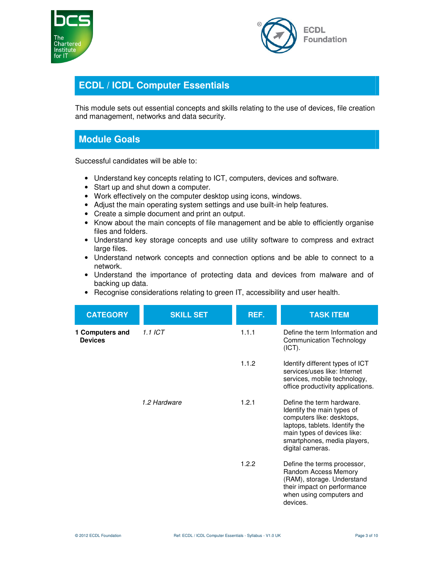



### **ECDL / ICDL Computer Essentials**

This module sets out essential concepts and skills relating to the use of devices, file creation and management, networks and data security.

## **Module Goals**

Successful candidates will be able to:

- Understand key concepts relating to ICT, computers, devices and software.
- Start up and shut down a computer.
- Work effectively on the computer desktop using icons, windows.
- Adjust the main operating system settings and use built-in help features.
- Create a simple document and print an output.
- Know about the main concepts of file management and be able to efficiently organise files and folders.
- Understand key storage concepts and use utility software to compress and extract large files.
- Understand network concepts and connection options and be able to connect to a network.
- Understand the importance of protecting data and devices from malware and of backing up data.
- Recognise considerations relating to green IT, accessibility and user health.

| <b>CATEGORY</b>                   | <b>SKILL SET</b> | REF.  | <b>TASK ITEM</b>                                                                                                                                                                                         |
|-----------------------------------|------------------|-------|----------------------------------------------------------------------------------------------------------------------------------------------------------------------------------------------------------|
| 1 Computers and<br><b>Devices</b> | $1.1$ ICT        | 1.1.1 | Define the term Information and<br><b>Communication Technology</b><br>(ICT).                                                                                                                             |
|                                   |                  | 1.1.2 | Identify different types of ICT<br>services/uses like: Internet<br>services, mobile technology,<br>office productivity applications.                                                                     |
|                                   | 1.2 Hardware     | 1.2.1 | Define the term hardware.<br>Identify the main types of<br>computers like: desktops,<br>laptops, tablets. Identify the<br>main types of devices like:<br>smartphones, media players,<br>digital cameras. |
|                                   |                  | 1.2.2 | Define the terms processor,<br>Random Access Memory<br>(RAM), storage. Understand<br>their impact on performance<br>when using computers and<br>devices.                                                 |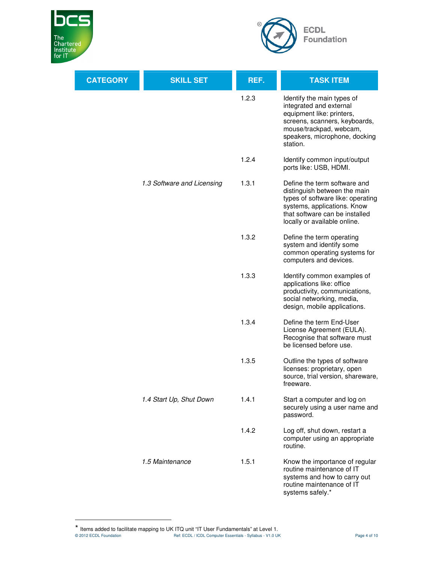

 $\ddot{\phantom{a}}$ 



| <b>CATEGORY</b> | <b>SKILL SET</b>           | REF.  | <b>TASK ITEM</b>                                                                                                                                                                                   |
|-----------------|----------------------------|-------|----------------------------------------------------------------------------------------------------------------------------------------------------------------------------------------------------|
|                 |                            | 1.2.3 | Identify the main types of<br>integrated and external<br>equipment like: printers,<br>screens, scanners, keyboards,<br>mouse/trackpad, webcam,<br>speakers, microphone, docking<br>station.        |
|                 |                            | 1.2.4 | Identify common input/output<br>ports like: USB, HDMI.                                                                                                                                             |
|                 | 1.3 Software and Licensing | 1.3.1 | Define the term software and<br>distinguish between the main<br>types of software like: operating<br>systems, applications. Know<br>that software can be installed<br>locally or available online. |
|                 |                            | 1.3.2 | Define the term operating<br>system and identify some<br>common operating systems for<br>computers and devices.                                                                                    |
|                 |                            | 1.3.3 | Identify common examples of<br>applications like: office<br>productivity, communications,<br>social networking, media,<br>design, mobile applications.                                             |
|                 |                            | 1.3.4 | Define the term End-User<br>License Agreement (EULA).<br>Recognise that software must<br>be licensed before use.                                                                                   |
|                 |                            | 1.3.5 | Outline the types of software<br>licenses: proprietary, open<br>source, trial version, shareware,<br>treeware.                                                                                     |
|                 | 1.4 Start Up, Shut Down    | 1.4.1 | Start a computer and log on<br>securely using a user name and<br>password.                                                                                                                         |
|                 |                            | 1.4.2 | Log off, shut down, restart a<br>computer using an appropriate<br>routine.                                                                                                                         |
|                 | 1.5 Maintenance            | 1.5.1 | Know the importance of regular<br>routine maintenance of IT<br>systems and how to carry out<br>routine maintenance of IT<br>systems safely.*                                                       |

<sup>© 2012</sup> ECDL Foundation **Ref: ECDL / ICDL Computer Essentials - Syllabus - V1.0 UK** Page 4 of 10 \* Items added to facilitate mapping to UK ITQ unit "IT User Fundamentals" at Level 1.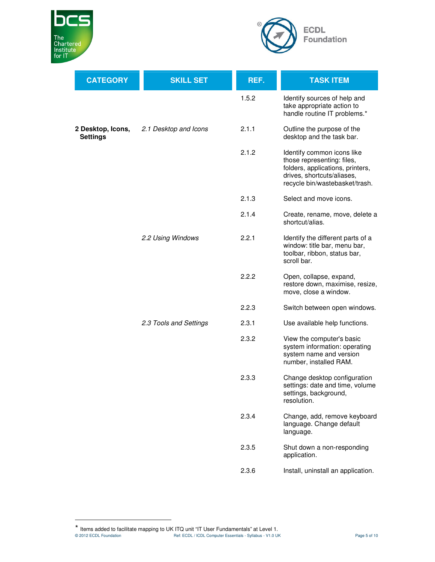

 $\ddot{\phantom{a}}$ 



| <b>CATEGORY</b>                      | <b>SKILL SET</b>       | REF.  | <b>TASK ITEM</b>                                                                                                                                             |
|--------------------------------------|------------------------|-------|--------------------------------------------------------------------------------------------------------------------------------------------------------------|
|                                      |                        | 1.5.2 | Identify sources of help and<br>take appropriate action to<br>handle routine IT problems.*                                                                   |
| 2 Desktop, Icons,<br><b>Settings</b> | 2.1 Desktop and Icons  | 2.1.1 | Outline the purpose of the<br>desktop and the task bar.                                                                                                      |
|                                      |                        | 2.1.2 | Identify common icons like<br>those representing: files,<br>folders, applications, printers,<br>drives, shortcuts/aliases,<br>recycle bin/wastebasket/trash. |
|                                      |                        | 2.1.3 | Select and move icons.                                                                                                                                       |
|                                      |                        | 2.1.4 | Create, rename, move, delete a<br>shortcut/alias.                                                                                                            |
|                                      | 2.2 Using Windows      | 2.2.1 | Identify the different parts of a<br>window: title bar, menu bar,<br>toolbar, ribbon, status bar,<br>scroll bar.                                             |
|                                      |                        | 2.2.2 | Open, collapse, expand,<br>restore down, maximise, resize,<br>move, close a window.                                                                          |
|                                      |                        | 2.2.3 | Switch between open windows.                                                                                                                                 |
|                                      | 2.3 Tools and Settings | 2.3.1 | Use available help functions.                                                                                                                                |
|                                      |                        | 2.3.2 | View the computer's basic<br>system information: operating<br>system name and version<br>number, installed RAM.                                              |
|                                      |                        | 2.3.3 | Change desktop configuration<br>settings: date and time, volume<br>settings, background,<br>resolution.                                                      |
|                                      |                        | 2.3.4 | Change, add, remove keyboard<br>language. Change default<br>language.                                                                                        |
|                                      |                        | 2.3.5 | Shut down a non-responding<br>application.                                                                                                                   |
|                                      |                        | 2.3.6 | Install, uninstall an application.                                                                                                                           |

<sup>© 2012</sup> ECDL Foundation **Ref: ECDL / ICDL Computer Essentials - Syllabus - V1.0 UK** Page 5 of 10 \* Items added to facilitate mapping to UK ITQ unit "IT User Fundamentals" at Level 1.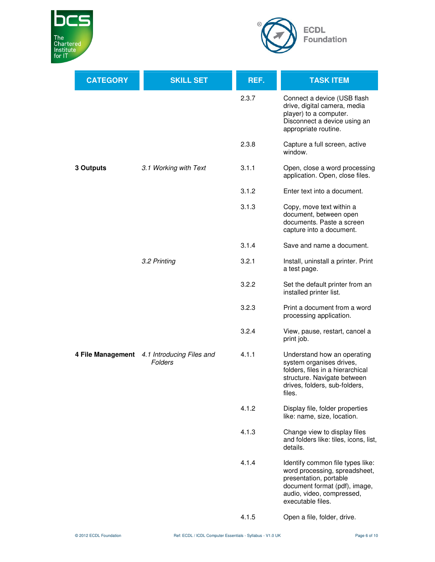



| <b>CATEGORY</b>   | <b>SKILL SET</b>                     | REF.  | <b>TASK ITEM</b>                                                                                                                                                               |
|-------------------|--------------------------------------|-------|--------------------------------------------------------------------------------------------------------------------------------------------------------------------------------|
|                   |                                      | 2.3.7 | Connect a device (USB flash<br>drive, digital camera, media<br>player) to a computer.<br>Disconnect a device using an<br>appropriate routine.                                  |
|                   |                                      | 2.3.8 | Capture a full screen, active<br>window.                                                                                                                                       |
| 3 Outputs         | 3.1 Working with Text                | 3.1.1 | Open, close a word processing<br>application. Open, close files.                                                                                                               |
|                   |                                      | 3.1.2 | Enter text into a document.                                                                                                                                                    |
|                   |                                      | 3.1.3 | Copy, move text within a<br>document, between open<br>documents. Paste a screen<br>capture into a document.                                                                    |
|                   |                                      | 3.1.4 | Save and name a document.                                                                                                                                                      |
|                   | 3.2 Printing                         | 3.2.1 | Install, uninstall a printer. Print<br>a test page.                                                                                                                            |
|                   |                                      | 3.2.2 | Set the default printer from an<br>installed printer list.                                                                                                                     |
|                   |                                      | 3.2.3 | Print a document from a word<br>processing application.                                                                                                                        |
|                   |                                      | 3.2.4 | View, pause, restart, cancel a<br>print job.                                                                                                                                   |
| 4 File Management | 4.1 Introducing Files and<br>Folders | 4.1.1 | Understand how an operating<br>system organises drives,<br>folders, files in a hierarchical<br>structure. Navigate between<br>drives, folders, sub-folders,<br>files.          |
|                   |                                      | 4.1.2 | Display file, folder properties<br>like: name, size, location.                                                                                                                 |
|                   |                                      | 4.1.3 | Change view to display files<br>and folders like: tiles, icons, list,<br>details.                                                                                              |
|                   |                                      | 4.1.4 | Identify common file types like:<br>word processing, spreadsheet,<br>presentation, portable<br>document format (pdf), image,<br>audio, video, compressed,<br>executable files. |
|                   |                                      | 4.1.5 | Open a file, folder, drive.                                                                                                                                                    |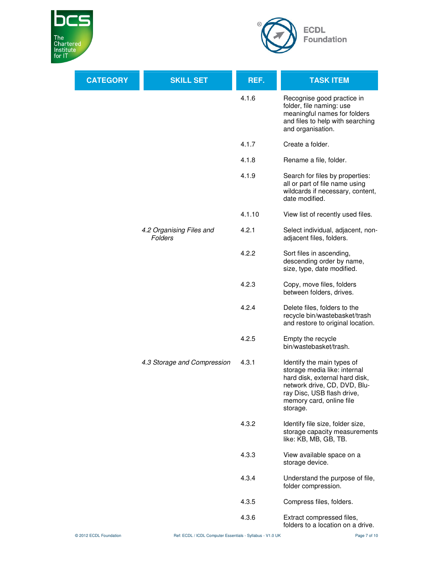



| <b>CATEGORY</b> | <b>SKILL SET</b>                    | REF.   | <b>TASK ITEM</b>                                                                                                                                                                                   |
|-----------------|-------------------------------------|--------|----------------------------------------------------------------------------------------------------------------------------------------------------------------------------------------------------|
|                 |                                     | 4.1.6  | Recognise good practice in<br>folder, file naming: use<br>meaningful names for folders<br>and files to help with searching<br>and organisation.                                                    |
|                 |                                     | 4.1.7  | Create a folder.                                                                                                                                                                                   |
|                 |                                     | 4.1.8  | Rename a file, folder.                                                                                                                                                                             |
|                 |                                     | 4.1.9  | Search for files by properties:<br>all or part of file name using<br>wildcards if necessary, content,<br>date modified.                                                                            |
|                 |                                     | 4.1.10 | View list of recently used files.                                                                                                                                                                  |
|                 | 4.2 Organising Files and<br>Folders | 4.2.1  | Select individual, adjacent, non-<br>adjacent files, folders.                                                                                                                                      |
|                 |                                     | 4.2.2  | Sort files in ascending,<br>descending order by name,<br>size, type, date modified.                                                                                                                |
|                 |                                     | 4.2.3  | Copy, move files, folders<br>between folders, drives.                                                                                                                                              |
|                 |                                     | 4.2.4  | Delete files, folders to the<br>recycle bin/wastebasket/trash<br>and restore to original location.                                                                                                 |
|                 |                                     | 4.2.5  | Empty the recycle<br>bin/wastebasket/trash.                                                                                                                                                        |
|                 | 4.3 Storage and Compression         | 4.3.1  | Identify the main types of<br>storage media like: internal<br>hard disk, external hard disk,<br>network drive, CD, DVD, Blu-<br>ray Disc, USB flash drive,<br>memory card, online file<br>storage. |
|                 |                                     | 4.3.2  | Identify file size, folder size,<br>storage capacity measurements<br>like: KB, MB, GB, TB.                                                                                                         |
|                 |                                     | 4.3.3  | View available space on a<br>storage device.                                                                                                                                                       |
|                 |                                     | 4.3.4  | Understand the purpose of file,<br>folder compression.                                                                                                                                             |
|                 |                                     | 4.3.5  | Compress files, folders.                                                                                                                                                                           |
|                 |                                     | 4.3.6  | Extract compressed files,<br>folders to a location on a drive.                                                                                                                                     |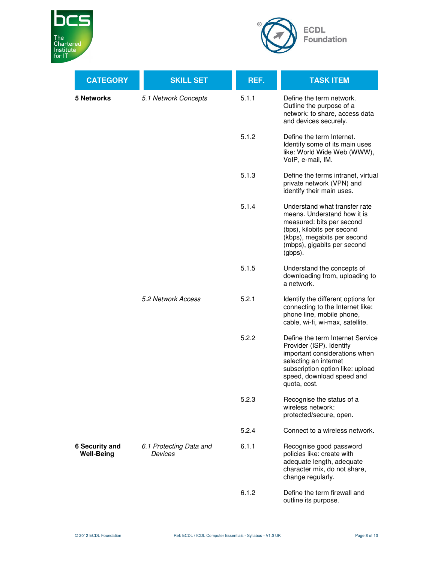



| <b>CATEGORY</b>                            | <b>SKILL SET</b>                          | REF.  | <b>TASK ITEM</b>                                                                                                                                                                                        |
|--------------------------------------------|-------------------------------------------|-------|---------------------------------------------------------------------------------------------------------------------------------------------------------------------------------------------------------|
| 5 Networks                                 | 5.1 Network Concepts                      | 5.1.1 | Define the term network.<br>Outline the purpose of a<br>network: to share, access data<br>and devices securely.                                                                                         |
|                                            |                                           | 5.1.2 | Define the term Internet.<br>Identify some of its main uses<br>like: World Wide Web (WWW),<br>VoIP, e-mail, IM.                                                                                         |
|                                            |                                           | 5.1.3 | Define the terms intranet, virtual<br>private network (VPN) and<br>identify their main uses.                                                                                                            |
|                                            |                                           | 5.1.4 | Understand what transfer rate<br>means. Understand how it is<br>measured: bits per second<br>(bps), kilobits per second<br>(kbps), megabits per second<br>(mbps), gigabits per second<br>(gbps).        |
|                                            |                                           | 5.1.5 | Understand the concepts of<br>downloading from, uploading to<br>a network.                                                                                                                              |
|                                            | 5.2 Network Access                        | 5.2.1 | Identify the different options for<br>connecting to the Internet like:<br>phone line, mobile phone,<br>cable, wi-fi, wi-max, satellite.                                                                 |
|                                            |                                           | 5.2.2 | Define the term Internet Service<br>Provider (ISP). Identify<br>important considerations when<br>selecting an internet<br>subscription option like: upload<br>speed, download speed and<br>quota, cost. |
|                                            |                                           | 5.2.3 | Recognise the status of a<br>wireless network:<br>protected/secure, open.                                                                                                                               |
|                                            |                                           | 5.2.4 | Connect to a wireless network.                                                                                                                                                                          |
| <b>6 Security and</b><br><b>Well-Being</b> | 6.1 Protecting Data and<br><b>Devices</b> | 6.1.1 | Recognise good password<br>policies like: create with<br>adequate length, adequate<br>character mix, do not share,<br>change regularly.                                                                 |
|                                            |                                           | 6.1.2 | Define the term firewall and<br>outline its purpose.                                                                                                                                                    |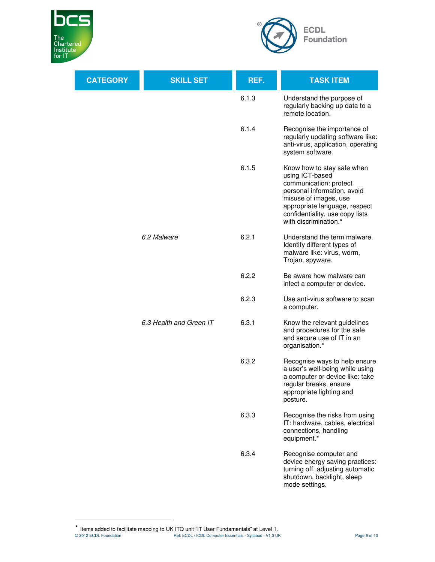

 $\ddot{\phantom{a}}$ 



| <b>CATEGORY</b> | <b>SKILL SET</b>        | REF.  | <b>TASK ITEM</b>                                                                                                                                                                                                             |
|-----------------|-------------------------|-------|------------------------------------------------------------------------------------------------------------------------------------------------------------------------------------------------------------------------------|
|                 |                         | 6.1.3 | Understand the purpose of<br>regularly backing up data to a<br>remote location.                                                                                                                                              |
|                 |                         | 6.1.4 | Recognise the importance of<br>regularly updating software like:<br>anti-virus, application, operating<br>system software.                                                                                                   |
|                 |                         | 6.1.5 | Know how to stay safe when<br>using ICT-based<br>communication: protect<br>personal information, avoid<br>misuse of images, use<br>appropriate language, respect<br>confidentiality, use copy lists<br>with discrimination.* |
|                 | 6.2 Malware             | 6.2.1 | Understand the term malware.<br>Identify different types of<br>malware like: virus, worm,<br>Trojan, spyware.                                                                                                                |
|                 |                         | 6.2.2 | Be aware how malware can<br>infect a computer or device.                                                                                                                                                                     |
|                 |                         | 6.2.3 | Use anti-virus software to scan<br>a computer.                                                                                                                                                                               |
|                 | 6.3 Health and Green IT | 6.3.1 | Know the relevant guidelines<br>and procedures for the safe<br>and secure use of IT in an<br>organisation.*                                                                                                                  |
|                 |                         | 6.3.2 | Recognise ways to help ensure<br>a user's well-being while using<br>a computer or device like: take<br>regular breaks, ensure<br>appropriate lighting and<br>posture.                                                        |
|                 |                         | 6.3.3 | Recognise the risks from using<br>IT: hardware, cables, electrical<br>connections, handling<br>equipment.*                                                                                                                   |
|                 |                         | 6.3.4 | Recognise computer and<br>device energy saving practices:<br>turning off, adjusting automatic<br>shutdown, backlight, sleep<br>mode settings.                                                                                |

<sup>© 2012</sup> ECDL Foundation **Ref: ECDL / ICDL Computer Essentials - Syllabus - V1.0 UK** Page 9 of 10 \* Items added to facilitate mapping to UK ITQ unit "IT User Fundamentals" at Level 1.